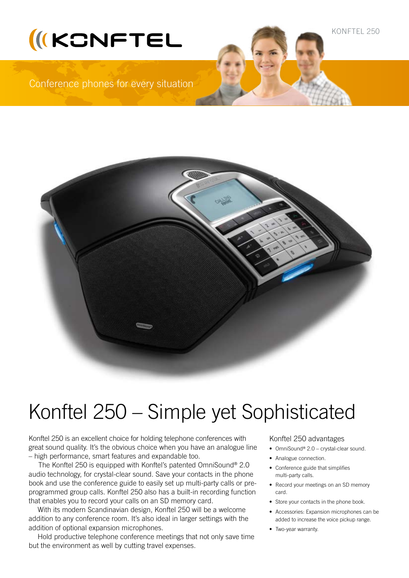



# Konftel 250 – Simple yet Sophisticated

Konftel 250 is an excellent choice for holding telephone conferences with great sound quality. It's the obvious choice when you have an analogue line – high performance, smart features and expandable too.

 The Konftel 250 is equipped with Konftel's patented OmniSound® 2.0 audio technology, for crystal-clear sound. Save your contacts in the phone book and use the conference guide to easily set up multi-party calls or preprogrammed group calls. Konftel 250 also has a built-in recording function that enables you to record your calls on an SD memory card.

With its modern Scandinavian design, Konftel 250 will be a welcome addition to any conference room. It's also ideal in larger settings with the addition of optional expansion microphones.

Hold productive telephone conference meetings that not only save time but the environment as well by cutting travel expenses.

# Konftel 250 advantages

- OmniSound® 2.0 crystal-clear sound.
- Analogue connection.
- • Conference guide that simplifies multi-party calls.
- Record your meetings on an SD memory card.
- Store your contacts in the phone book.
- • Accessories: Expansion microphones can be added to increase the voice pickup range.
- Two-year warranty.